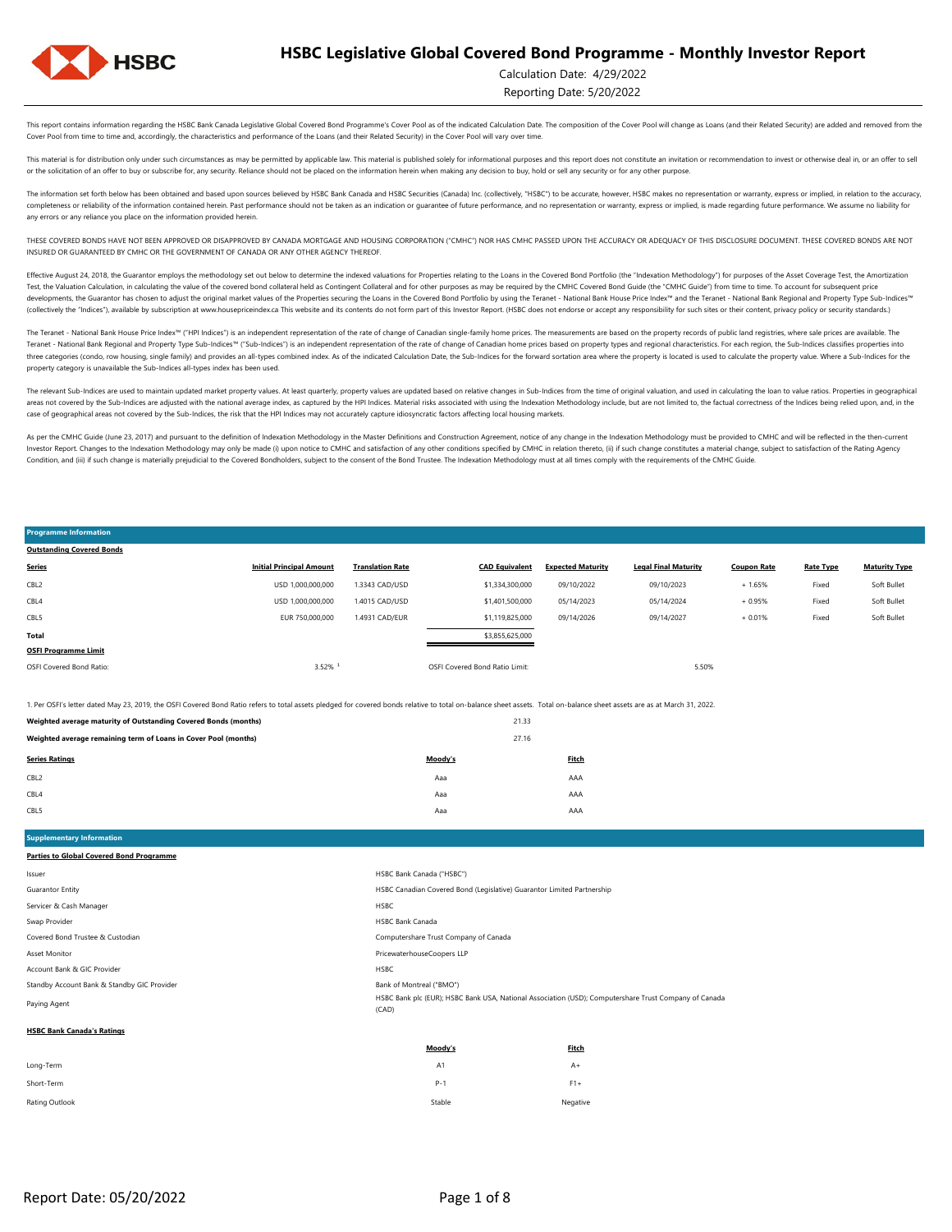

**Programme Information Outstanding Covered Bonds**

#### Calculation Date: 4/29/2022

Reporting Date: 5/20/2022

Soft Bullet

This report contains information regarding the HSBC Bank Canada Legislative Global Covered Bond Programme's Cover Pool as of the indicated Calculation Date. The composition of the Cover Pool will change as Loans (and their Cover Pool from time to time and, accordingly, the characteristics and performance of the Loans (and their Related Security) in the Cover Pool will vary over time.

This material is for distribution only under such circumstances as may be permitted by applicable law. This material is published solely for informational purposes and this report does not constitute an invitation or recom or the solicitation of an offer to buy or subscribe for, any security. Reliance should not be placed on the information herein when making any decision to buy, hold or sell any security or for any other purpose.

The information set forth below has been obtained and based upon sources believed by HSBC Bank Canada and HSBC Securities (Canada) Inc. (collectively, "HSBC") to be accurate, however, HSBC makes no representation or warran completeness or reliability of the information contained herein. Past performance should not be taken as an indication or guarantee of future performance, and no representation or warranty, express or implied, is made rega any errors or any reliance you place on the information provided herein.

THESE COVERED BONDS HAVE NOT BEEN APPROVED OR DISAPPROVED BY CANADA MORTGAGE AND HOUSING CORPORATION ("CMHC") NOR HAS CMHC PASSED UPON THE ACCURACY OR ADEQUACY OF THIS DISCLOSURE DOCUMENT. THESE COVERED BONDS ARE NOT INSURED OR GUARANTEED BY CMHC OR THE GOVERNMENT OF CANADA OR ANY OTHER AGENCY THEREOF.

Effective August 24, 2018, the Guarantor employs the methodology set out below to determine the indexed valuations for Properties relating to the Loans in the Covered Bond Portfolio (the "Indexation Methodology") for purpo Test, the Valuation Calculation, in calculating the value of the covered bond collateral held as Contingent Collateral and for other purposes as may be required by the CMHC Covered Bond Guide (the "CMHC Guide") from time t developments, the Guarantor has chosen to adjust the original market values of the Properties securing the Loans in the Covered Bond Portfolio by using the Teranet - National Bank House Price Index<sup>nu</sup> and the Teranet - Na (collectively the "Indices"), available by subscription at www.housepriceindex.ca This website and its contents do not form part of this Investor Report. (HSBC does not endorse or accept any responsibility for such sites o

The Teranet - National Bank House Price Index<sup>na</sup> ("HPI Indices") is an independent representation of the rate of change of Canadian single-family home prices. The measurements are based on the property records of public l Teranet - National Bank Regional and Property Type Sub-Indices™ ("Sub-Indices") is an independent representation of the rate of change of Canadian home prices based on property types and regional characteristics. For each three categories (condo, row housing, single family) and provides an all-types combined index. As of the indicated Calculation Date, the Sub-Indices for the forward sortation area where the property is located is used to c property category is unavailable the Sub-Indices all-types index has been used.

The relevant Sub-Indices are used to maintain updated market property values. At least quarterly, property values are updated based on relative changes in Sub-Indices from the time of original valuation, and used in calcul areas not covered by the Sub-Indices are adjusted with the national average index, as captured by the HPI Indices. Material risks associated with using the Indivation Methodology include, but are not limited to, the factua case of geographical areas not covered by the Sub-Indices, the risk that the HPI Indices may not accurately capture idiosyncratic factors affecting local housing markets.

As per the CMHC Guide (June 23, 2017) and pursuant to the definition of Indexation Methodology in the Master Definitions and Construction Agreement, notice of any change in the Indexation Methodology must be provided to CM Investor Report. Changes to the Indexation Methodology may only be made (i) upon notice to CMHC and satisfaction of any other conditions specified by CMHC in relation thereto, (ii) if such change constitutes a material cha Condition, and (iii) if such change is materially prejudicial to the Covered Bondholders, subject to the consent of the Bond Trustee. The Indexation Methodology must at all times comply with the requirements of the CMHC Gu

#### OSFI Covered Bond Ratio: 3.52% ¹ OSFI Covered Bond Ratio Limit: 5.50% **OSFI Programme Limit Total** \$3,855,625,000 Fixed Soft Bullet CBL5 EUR 750,000,000 1.4931 CAD/EUR \$1,119,825,000 09/14/2026 09/14/2027 + 0.01% Fixed + 1.65% Fixed Soft Bullet CBL4 USD 1,000,000,000 1.4015 CAD/USD \$1,401,500,000 05/14/2023 05/14/2024 + 0.95% CBL2 USD 1,000,000,000 1.3343 CAD/USD \$1,334,300,000 09/10/2022 09/10/2023 **Series Initial Principal Amount Translation Rate CAD Equivalent Expected Maturity Legal Final Maturity Coupon Rate Rate Type Maturity Type**

1. Per OSFI's letter dated May 23, 2019, the OSFI Covered Bond Ratio refers to total assets pledged for covered bonds relative to total on-balance sheet assets. Total on-balance sheet assets are as at March 31, 2022.

| Weighted average maturity of Outstanding Covered Bonds (months) | 21.33   |       |
|-----------------------------------------------------------------|---------|-------|
| Weighted average remaining term of Loans in Cover Pool (months) | 27.16   |       |
| <b>Series Ratings</b>                                           | Moody's | Fitch |
| CBL <sub>2</sub>                                                | Aaa     | AAA   |
| CBL4                                                            | Aaa     | AAA   |

CBL5 Aaa AAA

Rating Outlook Negative Negative Negative Negative Negative Negative Negative Negative Negative Negative Negative Short-Term P-1 F1+

**Moody's Fitch** Long-Term A1 A+ Paying Agent HSBC Bank plc (EUR); HSBC Bank USA, National Association (USD); Computershare Trust Company of Canada (CAD) **HSBC Bank Canada's Ratings** Account Bank & GIC Provider HSBC Standby Account Bank & Standby GIC Provider Bank of Montreal ("BMO") and Dank of Montreal ("BMO") Covered Bond Trustee & Custodian Computershare Trust Company of Canada Asset Monitor PricewaterhouseCoopers LLP Servicer & Cash Manager **HSBC** Swap Provider **HSBC Bank Canada** HSBC Bank Canada ("HSBC") Guarantor Entity HSBC Canadian Covered Bond (Legislative) Guarantor Limited Partnership **Supplementary Information Parties to Global Covered Bond Programme**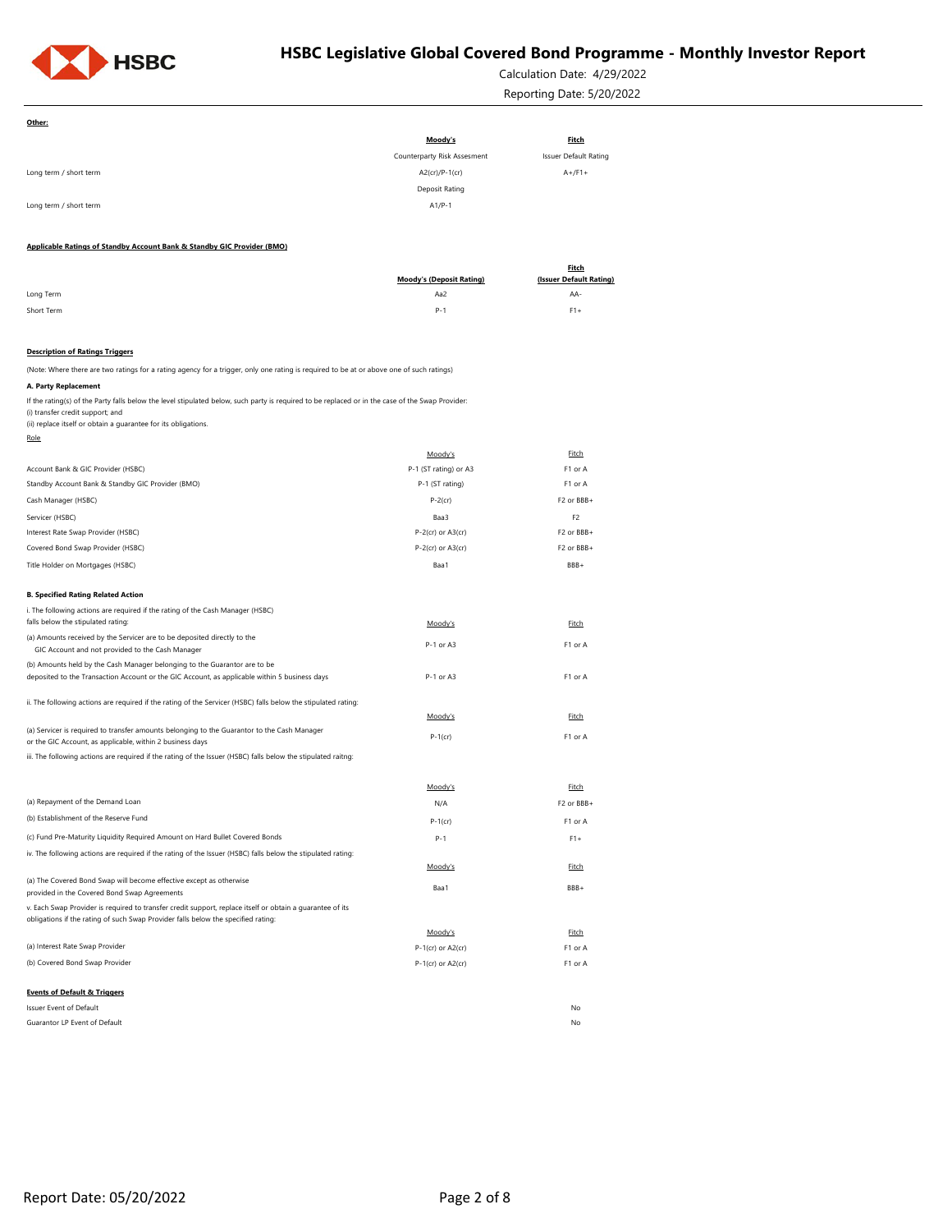

Calculation Date: 4/29/2022 Reporting Date: 5/20/2022

| Other:                                                                                                                                                                                                                                                 |                                  |                              |
|--------------------------------------------------------------------------------------------------------------------------------------------------------------------------------------------------------------------------------------------------------|----------------------------------|------------------------------|
|                                                                                                                                                                                                                                                        | Moody's                          | <b>Fitch</b>                 |
|                                                                                                                                                                                                                                                        | Counterparty Risk Assesment      | <b>Issuer Default Rating</b> |
| Long term / short term                                                                                                                                                                                                                                 | $A2$ (cr)/P-1(cr)                | $A+$ /F1+                    |
|                                                                                                                                                                                                                                                        | Deposit Rating                   |                              |
| Long term / short term                                                                                                                                                                                                                                 | $A1/P-1$                         |                              |
| Applicable Ratings of Standby Account Bank & Standby GIC Provider (BMO)                                                                                                                                                                                |                                  |                              |
|                                                                                                                                                                                                                                                        |                                  | <b>Fitch</b>                 |
|                                                                                                                                                                                                                                                        | <b>Moody's (Deposit Rating)</b>  | (Issuer Default Rating)      |
| Long Term                                                                                                                                                                                                                                              | Aa2                              | AA-                          |
| Short Term                                                                                                                                                                                                                                             | $P-1$                            | $F1+$                        |
| <b>Description of Ratings Triggers</b>                                                                                                                                                                                                                 |                                  |                              |
| (Note: Where there are two ratings for a rating agency for a trigger, only one rating is required to be at or above one of such ratings)                                                                                                               |                                  |                              |
| A. Party Replacement                                                                                                                                                                                                                                   |                                  |                              |
| If the rating(s) of the Party falls below the level stipulated below, such party is required to be replaced or in the case of the Swap Provider:<br>(i) transfer credit support; and<br>(ii) replace itself or obtain a guarantee for its obligations. |                                  |                              |
| <u>Role</u>                                                                                                                                                                                                                                            |                                  | Fitch                        |
| Account Bank & GIC Provider (HSBC)                                                                                                                                                                                                                     | Moody's<br>P-1 (ST rating) or A3 | F1 or A                      |
| Standby Account Bank & Standby GIC Provider (BMO)                                                                                                                                                                                                      | P-1 (ST rating)                  | F1 or A                      |
| Cash Manager (HSBC)                                                                                                                                                                                                                                    | $P-2$ (cr)                       | F2 or BBB+                   |
|                                                                                                                                                                                                                                                        |                                  | F <sub>2</sub>               |
| Servicer (HSBC)<br>Interest Rate Swap Provider (HSBC)                                                                                                                                                                                                  | Baa3<br>$P-2$ (cr) or A3(cr)     | F2 or BBB+                   |
| Covered Bond Swap Provider (HSBC)                                                                                                                                                                                                                      | $P-2$ (cr) or $A3$ (cr)          | F2 or BBB+                   |
| Title Holder on Mortgages (HSBC)                                                                                                                                                                                                                       | Baa1                             | BBB+                         |
|                                                                                                                                                                                                                                                        |                                  |                              |
| <b>B. Specified Rating Related Action</b>                                                                                                                                                                                                              |                                  |                              |
| i. The following actions are required if the rating of the Cash Manager (HSBC)                                                                                                                                                                         |                                  |                              |
| falls below the stipulated rating:                                                                                                                                                                                                                     | Moody's                          | <b>Fitch</b>                 |
| (a) Amounts received by the Servicer are to be deposited directly to the<br>GIC Account and not provided to the Cash Manager                                                                                                                           | P-1 or A3                        | F1 or A                      |
| (b) Amounts held by the Cash Manager belonging to the Guarantor are to be                                                                                                                                                                              |                                  |                              |
| deposited to the Transaction Account or the GIC Account, as applicable within 5 business days                                                                                                                                                          | P-1 or A3                        | F1 or A                      |
|                                                                                                                                                                                                                                                        |                                  |                              |
| ii. The following actions are required if the rating of the Servicer (HSBC) falls below the stipulated rating:                                                                                                                                         |                                  |                              |
| (a) Servicer is required to transfer amounts belonging to the Guarantor to the Cash Manager                                                                                                                                                            | Moody's                          | Fitch                        |
| or the GIC Account, as applicable, within 2 business days                                                                                                                                                                                              | $P-1$ (cr)                       | F1 or A                      |
| iii. The following actions are required if the rating of the Issuer (HSBC) falls below the stipulated raitng:                                                                                                                                          |                                  |                              |
|                                                                                                                                                                                                                                                        |                                  |                              |
| (a) Repayment of the Demand Loan                                                                                                                                                                                                                       | Moody's<br>N/A                   | Fitch<br>F2 or BBB+          |
| (b) Establishment of the Reserve Fund                                                                                                                                                                                                                  |                                  |                              |
|                                                                                                                                                                                                                                                        | $P-1$ (cr)                       | F1 or A                      |
| (c) Fund Pre-Maturity Liquidity Required Amount on Hard Bullet Covered Bonds                                                                                                                                                                           | $P-1$                            | $F1+$                        |
| iv. The following actions are required if the rating of the Issuer (HSBC) falls below the stipulated rating:                                                                                                                                           | Moody's                          | Fitch                        |
| (a) The Covered Bond Swap will become effective except as otherwise                                                                                                                                                                                    |                                  |                              |
| provided in the Covered Bond Swap Agreements                                                                                                                                                                                                           | Baa1                             | BBB+                         |
| v. Each Swap Provider is required to transfer credit support, replace itself or obtain a guarantee of its                                                                                                                                              |                                  |                              |
| obligations if the rating of such Swap Provider falls below the specified rating:                                                                                                                                                                      | Moody's                          | Fitch                        |
| (a) Interest Rate Swap Provider                                                                                                                                                                                                                        | P-1(cr) or A2(cr)                | F1 or A                      |
| (b) Covered Bond Swap Provider                                                                                                                                                                                                                         | $P-1$ (cr) or A2(cr)             | F1 or A                      |
|                                                                                                                                                                                                                                                        |                                  |                              |
| <b>Events of Default &amp; Triggers</b>                                                                                                                                                                                                                |                                  |                              |
| Issuer Event of Default                                                                                                                                                                                                                                |                                  | No                           |
| Guarantor LP Event of Default                                                                                                                                                                                                                          |                                  | No                           |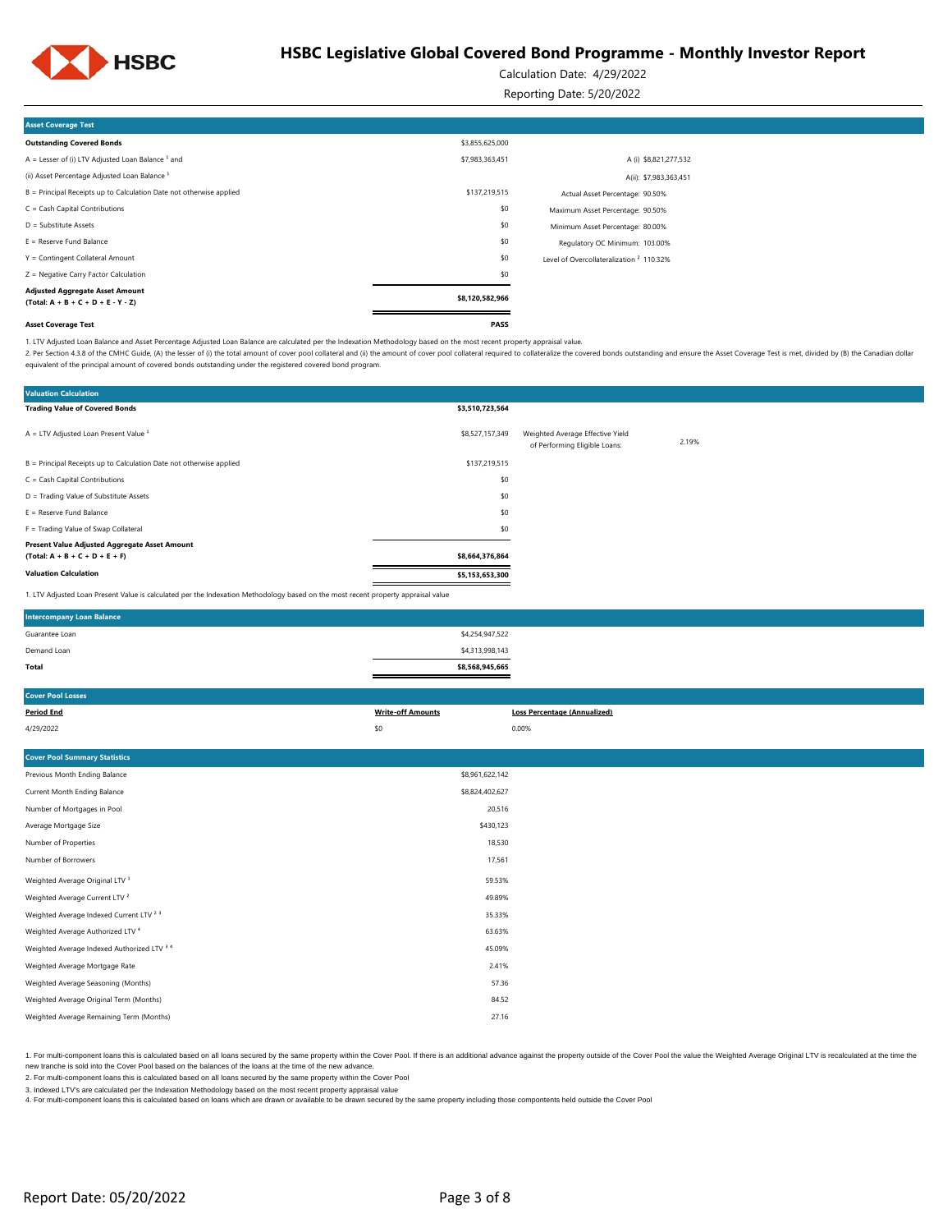

Calculation Date: 4/29/2022

Reporting Date: 5/20/2022

| <b>Asset Coverage Test</b>                                                     |                 |                                                     |  |
|--------------------------------------------------------------------------------|-----------------|-----------------------------------------------------|--|
| <b>Outstanding Covered Bonds</b>                                               | \$3,855,625,000 |                                                     |  |
| $A =$ Lesser of (i) LTV Adjusted Loan Balance $1$ and                          | \$7,983,363,451 | A (i) \$8,821,277,532                               |  |
| (ii) Asset Percentage Adjusted Loan Balance <sup>1</sup>                       |                 | A(ii): \$7,983,363,451                              |  |
| B = Principal Receipts up to Calculation Date not otherwise applied            | \$137,219,515   | Actual Asset Percentage: 90.50%                     |  |
| $C = Cash Capital Contributions$                                               | \$0             | Maximum Asset Percentage: 90.50%                    |  |
| D = Substitute Assets                                                          | \$0             | Minimum Asset Percentage: 80.00%                    |  |
| $E =$ Reserve Fund Balance                                                     | \$0             | Regulatory OC Minimum: 103.00%                      |  |
| Y = Contingent Collateral Amount                                               | \$0             | Level of Overcollateralization <sup>2</sup> 110.32% |  |
| Z = Negative Carry Factor Calculation                                          | \$0             |                                                     |  |
| <b>Adjusted Aggregate Asset Amount</b><br>$(Total: A + B + C + D + E - Y - Z)$ | \$8,120,582,966 |                                                     |  |
| <b>Asset Coverage Test</b>                                                     | PASS            |                                                     |  |

1. LTV Adjusted Loan Balance and Asset Percentage Adjusted Loan Balance are calculated per the Indexation Methodology based on the most recent property appraisal value.

2. Per Section 4.3.8 of the CMHC Guide, (A) the lesser of (i) the total amount of cover pool collateral and (ii) the amount of cover pool collateral required to cover pool collateral required to collateral required to coll equivalent of the principal amount of covered bonds outstanding under the registered covered bond program.

| <b>Valuation Calculation</b>                                                                                                      |                 |                                                                   |       |
|-----------------------------------------------------------------------------------------------------------------------------------|-----------------|-------------------------------------------------------------------|-------|
| <b>Trading Value of Covered Bonds</b>                                                                                             | \$3,510,723,564 |                                                                   |       |
| $A = LTV$ Adjusted Loan Present Value $1$                                                                                         | \$8,527,157,349 | Weighted Average Effective Yield<br>of Performing Eligible Loans: | 2.19% |
| B = Principal Receipts up to Calculation Date not otherwise applied                                                               | \$137,219,515   |                                                                   |       |
| $C = Cash Capital Contributions$                                                                                                  | \$0             |                                                                   |       |
| D = Trading Value of Substitute Assets                                                                                            | \$0             |                                                                   |       |
| $E =$ Reserve Fund Balance                                                                                                        | \$0             |                                                                   |       |
| F = Trading Value of Swap Collateral                                                                                              | \$0             |                                                                   |       |
| Present Value Adjusted Aggregate Asset Amount                                                                                     |                 |                                                                   |       |
| $(Total: A + B + C + D + E + F)$                                                                                                  | \$8,664,376,864 |                                                                   |       |
| <b>Valuation Calculation</b>                                                                                                      | \$5,153,653,300 |                                                                   |       |
| 1. LTV Adjusted Loan Present Value is calculated per the Indexation Methodology based on the most recent property appraisal value |                 |                                                                   |       |

| <b>Intercompany Loan Balance</b> |                 |  |
|----------------------------------|-----------------|--|
| Guarantee Loan                   | \$4,254,947,522 |  |
| Demand Loan                      | \$4,313,998,143 |  |
| Total                            | \$8,568,945,665 |  |

| <b>Cover Pool Losses</b>                           |                          |                                     |
|----------------------------------------------------|--------------------------|-------------------------------------|
| <b>Period End</b>                                  | <b>Write-off Amounts</b> | <b>Loss Percentage (Annualized)</b> |
| 4/29/2022                                          | \$0                      | 0.00%                               |
|                                                    |                          |                                     |
| <b>Cover Pool Summary Statistics</b>               |                          |                                     |
| Previous Month Ending Balance                      | \$8,961,622,142          |                                     |
| Current Month Ending Balance                       | \$8,824,402,627          |                                     |
| Number of Mortgages in Pool                        | 20,516                   |                                     |
| Average Mortgage Size                              | \$430,123                |                                     |
| Number of Properties                               | 18,530                   |                                     |
| Number of Borrowers                                | 17,561                   |                                     |
| Weighted Average Original LTV <sup>1</sup>         | 59.53%                   |                                     |
| Weighted Average Current LTV <sup>2</sup>          | 49.89%                   |                                     |
| Weighted Average Indexed Current LTV <sup>23</sup> | 35.33%                   |                                     |
| Weighted Average Authorized LTV <sup>4</sup>       | 63.63%                   |                                     |
| Weighted Average Indexed Authorized LTV 3 4        | 45.09%                   |                                     |
| Weighted Average Mortgage Rate                     | 2.41%                    |                                     |
| Weighted Average Seasoning (Months)                | 57.36                    |                                     |
| Weighted Average Original Term (Months)            | 84.52                    |                                     |
| Weighted Average Remaining Term (Months)           | 27.16                    |                                     |
|                                                    |                          |                                     |

1. For multi-component loans this is calculated based on all loans secured by the same property within the Cover Pool. If there is an additional advance against the property outside of the Cover Pool the value the Weighted new tranche is sold into the Cover Pool based on the balances of the loans at the time of the new advance.

2. For multi-component loans this is calculated based on all loans secured by the same property within the Cover Pool

3. Indexed LTV's are calculated per the Indexation Methodology based on the most recent property appraisal value

4. For multi-component loans this is calculated based on loans which are drawn or available to be drawn secured by the same property including those compontents held outside the Cover Pool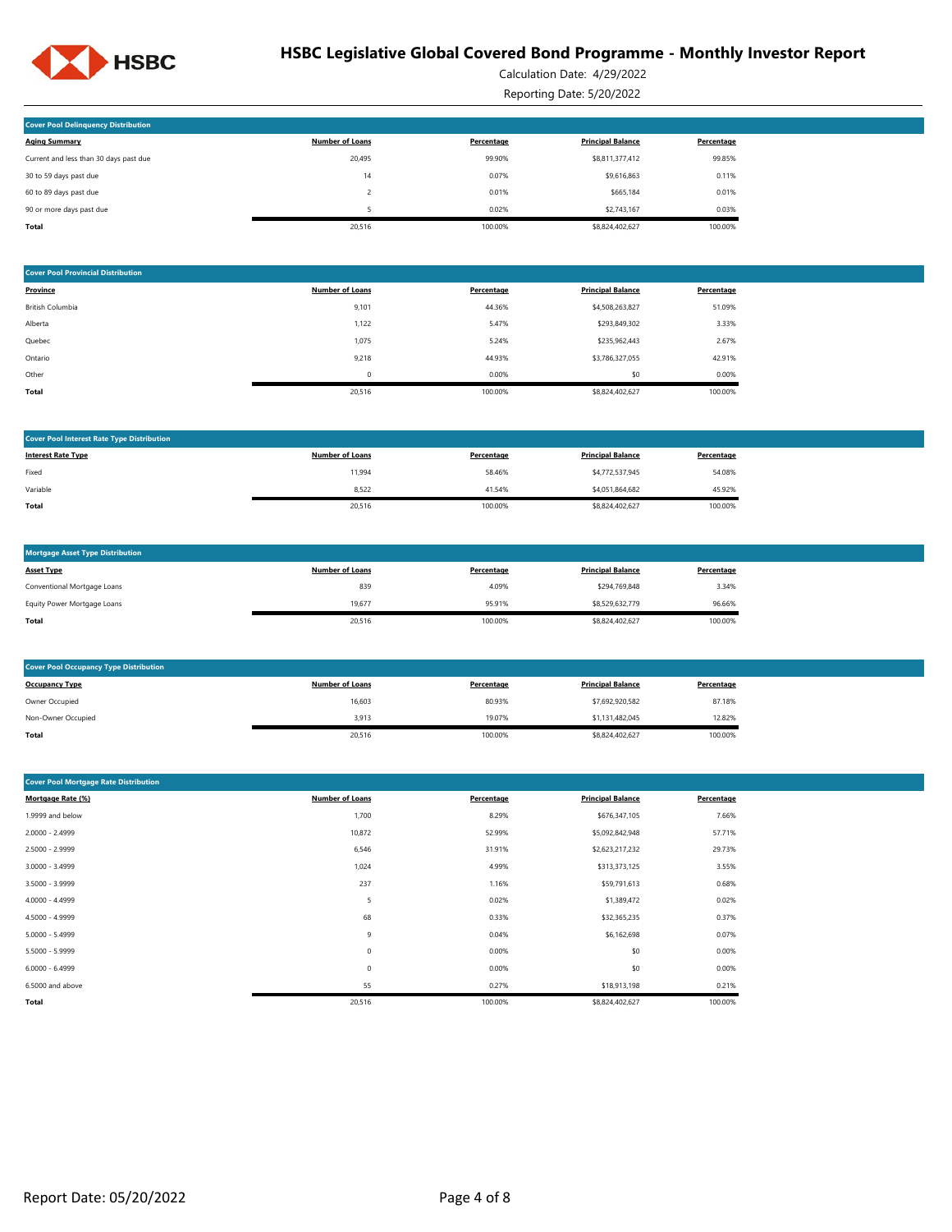

Calculation Date: 4/29/2022

Reporting Date: 5/20/2022

| <b>Cover Pool Delinquency Distribution</b> |                        |            |                          |            |
|--------------------------------------------|------------------------|------------|--------------------------|------------|
| <b>Aging Summary</b>                       | <b>Number of Loans</b> | Percentage | <b>Principal Balance</b> | Percentage |
| Current and less than 30 days past due     | 20.495                 | 99.90%     | \$8,811,377,412          | 99.85%     |
| 30 to 59 days past due                     | 14                     | 0.07%      | \$9,616,863              | 0.11%      |
| 60 to 89 days past due                     |                        | 0.01%      | \$665.184                | 0.01%      |
| 90 or more days past due                   |                        | 0.02%      | \$2,743.167              | 0.03%      |
| Total                                      | 20,516                 | 100.00%    | \$8,824,402,627          | 100.00%    |

| <b>Cover Pool Provincial Distribution</b> |                        |            |                          |            |
|-------------------------------------------|------------------------|------------|--------------------------|------------|
| Province                                  | <b>Number of Loans</b> | Percentage | <b>Principal Balance</b> | Percentage |
| British Columbia                          | 9,101                  | 44.36%     | \$4,508,263,827          | 51.09%     |
| Alberta                                   | 1,122                  | 5.47%      | \$293,849,302            | 3.33%      |
| Quebec                                    | 1,075                  | 5.24%      | \$235,962,443            | 2.67%      |
| Ontario                                   | 9,218                  | 44.93%     | \$3,786,327,055          | 42.91%     |
| Other                                     | 0                      | 0.00%      | \$0                      | 0.00%      |
| <b>Total</b>                              | 20,516                 | 100.00%    | \$8,824,402,627          | 100.00%    |

| <b>Cover Pool Interest Rate Type Distribution</b> |                        |            |                          |            |
|---------------------------------------------------|------------------------|------------|--------------------------|------------|
| <b>Interest Rate Type</b>                         | <b>Number of Loans</b> | Percentage | <b>Principal Balance</b> | Percentage |
| Fixed                                             | 11,994                 | 58.46%     | \$4,772,537,945          | 54.08%     |
| Variable                                          | 8,522                  | 41.54%     | \$4,051,864,682          | 45.92%     |
| Total                                             | 20,516                 | 100.00%    | \$8,824,402,627          | 100.00%    |

| <b>Mortgage Asset Type Distribution</b> |                        |            |                          |            |
|-----------------------------------------|------------------------|------------|--------------------------|------------|
| <b>Asset Type</b>                       | <b>Number of Loans</b> | Percentage | <b>Principal Balance</b> | Percentage |
| Conventional Mortgage Loans             | 839                    | 4.09%      | \$294.769.848            | 3.34%      |
| Equity Power Mortgage Loans             | 19.677                 | 95.91%     | \$8,529,632,779          | 96.66%     |
| Total                                   | 20,516                 | 100.00%    | \$8,824,402,627          | 100.00%    |

| <b>Cover Pool Occupancy Type Distribution</b> |                        |            |                          |            |
|-----------------------------------------------|------------------------|------------|--------------------------|------------|
| <b>Occupancy Type</b>                         | <b>Number of Loans</b> | Percentage | <b>Principal Balance</b> | Percentage |
| Owner Occupied                                | 16,603                 | 80.93%     | \$7,692,920,582          | 87.18%     |
| Non-Owner Occupied                            | 3,913                  | 19.07%     | \$1,131,482,045          | 12.82%     |
| Total                                         | 20,516                 | 100.00%    | \$8,824,402,627          | 100.00%    |

| <b>Cover Pool Mortgage Rate Distribution</b> |                        |            |                          |            |
|----------------------------------------------|------------------------|------------|--------------------------|------------|
| Mortgage Rate (%)                            | <b>Number of Loans</b> | Percentage | <b>Principal Balance</b> | Percentage |
| 1.9999 and below                             | 1,700                  | 8.29%      | \$676,347,105            | 7.66%      |
| 2.0000 - 2.4999                              | 10,872                 | 52.99%     | \$5,092,842,948          | 57.71%     |
| 2.5000 - 2.9999                              | 6,546                  | 31.91%     | \$2,623,217,232          | 29.73%     |
| $3.0000 - 3.4999$                            | 1,024                  | 4.99%      | \$313,373,125            | 3.55%      |
| 3.5000 - 3.9999                              | 237                    | 1.16%      | \$59,791,613             | 0.68%      |
| 4.0000 - 4.4999                              | 5                      | 0.02%      | \$1,389,472              | 0.02%      |
| 4.5000 - 4.9999                              | 68                     | 0.33%      | \$32,365,235             | 0.37%      |
| $5.0000 - 5.4999$                            | 9                      | 0.04%      | \$6,162,698              | 0.07%      |
| 5.5000 - 5.9999                              | $\mathbb O$            | 0.00%      | \$0                      | 0.00%      |
| $6.0000 - 6.4999$                            | 0                      | 0.00%      | \$0                      | 0.00%      |
| 6.5000 and above                             | 55                     | 0.27%      | \$18,913,198             | 0.21%      |
| Total                                        | 20,516                 | 100.00%    | \$8,824,402,627          | 100.00%    |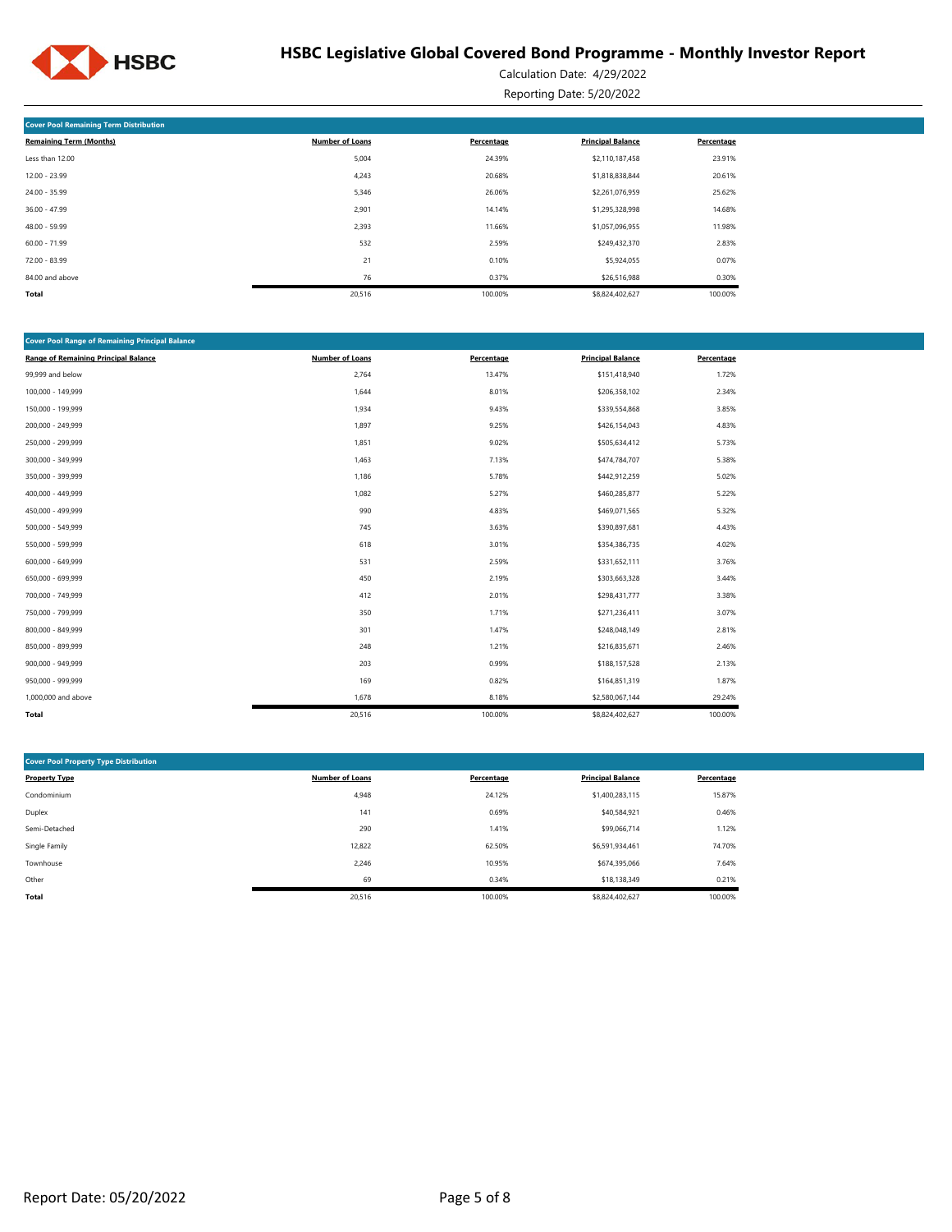

Calculation Date: 4/29/2022 Reporting Date: 5/20/2022

| <b>Cover Pool Remaining Term Distribution</b> |                        |            |                          |            |  |  |  |
|-----------------------------------------------|------------------------|------------|--------------------------|------------|--|--|--|
| <b>Remaining Term (Months)</b>                | <b>Number of Loans</b> | Percentage | <b>Principal Balance</b> | Percentage |  |  |  |
| Less than 12.00                               | 5,004                  | 24.39%     | \$2,110,187,458          | 23.91%     |  |  |  |
| $12.00 - 23.99$                               | 4,243                  | 20.68%     | \$1,818,838,844          | 20.61%     |  |  |  |
| $24.00 - 35.99$                               | 5,346                  | 26.06%     | \$2,261,076,959          | 25.62%     |  |  |  |
| $36.00 - 47.99$                               | 2,901                  | 14.14%     | \$1,295,328,998          | 14.68%     |  |  |  |
| $48.00 - 59.99$                               | 2,393                  | 11.66%     | \$1,057,096,955          | 11.98%     |  |  |  |
| $60.00 - 71.99$                               | 532                    | 2.59%      | \$249,432,370            | 2.83%      |  |  |  |
| $72.00 - 83.99$                               | 21                     | 0.10%      | \$5,924,055              | 0.07%      |  |  |  |
| 84.00 and above                               | 76                     | 0.37%      | \$26,516,988             | 0.30%      |  |  |  |
| Total                                         | 20,516                 | 100.00%    | \$8,824,402,627          | 100.00%    |  |  |  |

| <b>Cover Pool Range of Remaining Principal Balance</b> |                        |            |                          |            |  |  |  |  |
|--------------------------------------------------------|------------------------|------------|--------------------------|------------|--|--|--|--|
| <b>Range of Remaining Principal Balance</b>            | <b>Number of Loans</b> | Percentage | <b>Principal Balance</b> | Percentage |  |  |  |  |
| 99,999 and below                                       | 2,764                  | 13.47%     | \$151,418,940            | 1.72%      |  |  |  |  |
| 100,000 - 149,999                                      | 1,644                  | 8.01%      | \$206,358,102            | 2.34%      |  |  |  |  |
| 150,000 - 199,999                                      | 1,934                  | 9.43%      | \$339,554,868            | 3.85%      |  |  |  |  |
| 200,000 - 249,999                                      | 1,897                  | 9.25%      | \$426,154,043            | 4.83%      |  |  |  |  |
| 250,000 - 299,999                                      | 1,851                  | 9.02%      | \$505,634,412            | 5.73%      |  |  |  |  |
| 300,000 - 349,999                                      | 1,463                  | 7.13%      | \$474,784,707            | 5.38%      |  |  |  |  |
| 350,000 - 399,999                                      | 1,186                  | 5.78%      | \$442,912,259            | 5.02%      |  |  |  |  |
| 400,000 - 449,999                                      | 1,082                  | 5.27%      | \$460,285,877            | 5.22%      |  |  |  |  |
| 450,000 - 499,999                                      | 990                    | 4.83%      | \$469,071,565            | 5.32%      |  |  |  |  |
| 500,000 - 549,999                                      | 745                    | 3.63%      | \$390,897,681            | 4.43%      |  |  |  |  |
| 550,000 - 599,999                                      | 618                    | 3.01%      | \$354,386,735            | 4.02%      |  |  |  |  |
| 600,000 - 649,999                                      | 531                    | 2.59%      | \$331,652,111            | 3.76%      |  |  |  |  |
| 650,000 - 699,999                                      | 450                    | 2.19%      | \$303,663,328            | 3.44%      |  |  |  |  |
| 700,000 - 749,999                                      | 412                    | 2.01%      | \$298,431,777            | 3.38%      |  |  |  |  |
| 750,000 - 799,999                                      | 350                    | 1.71%      | \$271,236,411            | 3.07%      |  |  |  |  |
| 800,000 - 849,999                                      | 301                    | 1.47%      | \$248,048,149            | 2.81%      |  |  |  |  |
| 850,000 - 899,999                                      | 248                    | 1.21%      | \$216,835,671            | 2.46%      |  |  |  |  |
| 900,000 - 949,999                                      | 203                    | 0.99%      | \$188,157,528            | 2.13%      |  |  |  |  |
| 950,000 - 999,999                                      | 169                    | 0.82%      | \$164,851,319            | 1.87%      |  |  |  |  |
| 1,000,000 and above                                    | 1,678                  | 8.18%      | \$2,580,067,144          | 29.24%     |  |  |  |  |
| Total                                                  | 20,516                 | 100.00%    | \$8,824,402,627          | 100.00%    |  |  |  |  |

| <b>Cover Pool Property Type Distribution</b> |                        |            |                          |            |  |  |  |
|----------------------------------------------|------------------------|------------|--------------------------|------------|--|--|--|
| <b>Property Type</b>                         | <b>Number of Loans</b> | Percentage | <b>Principal Balance</b> | Percentage |  |  |  |
| Condominium                                  | 4,948                  | 24.12%     | \$1,400,283,115          | 15.87%     |  |  |  |
| Duplex                                       | 141                    | 0.69%      | \$40,584,921             | 0.46%      |  |  |  |
| Semi-Detached                                | 290                    | 1.41%      | \$99,066,714             | 1.12%      |  |  |  |
| Single Family                                | 12,822                 | 62.50%     | \$6,591,934,461          | 74.70%     |  |  |  |
| Townhouse                                    | 2,246                  | 10.95%     | \$674,395,066            | 7.64%      |  |  |  |
| Other                                        | 69                     | 0.34%      | \$18,138,349             | 0.21%      |  |  |  |
| <b>Total</b>                                 | 20,516                 | 100.00%    | \$8,824,402,627          | 100.00%    |  |  |  |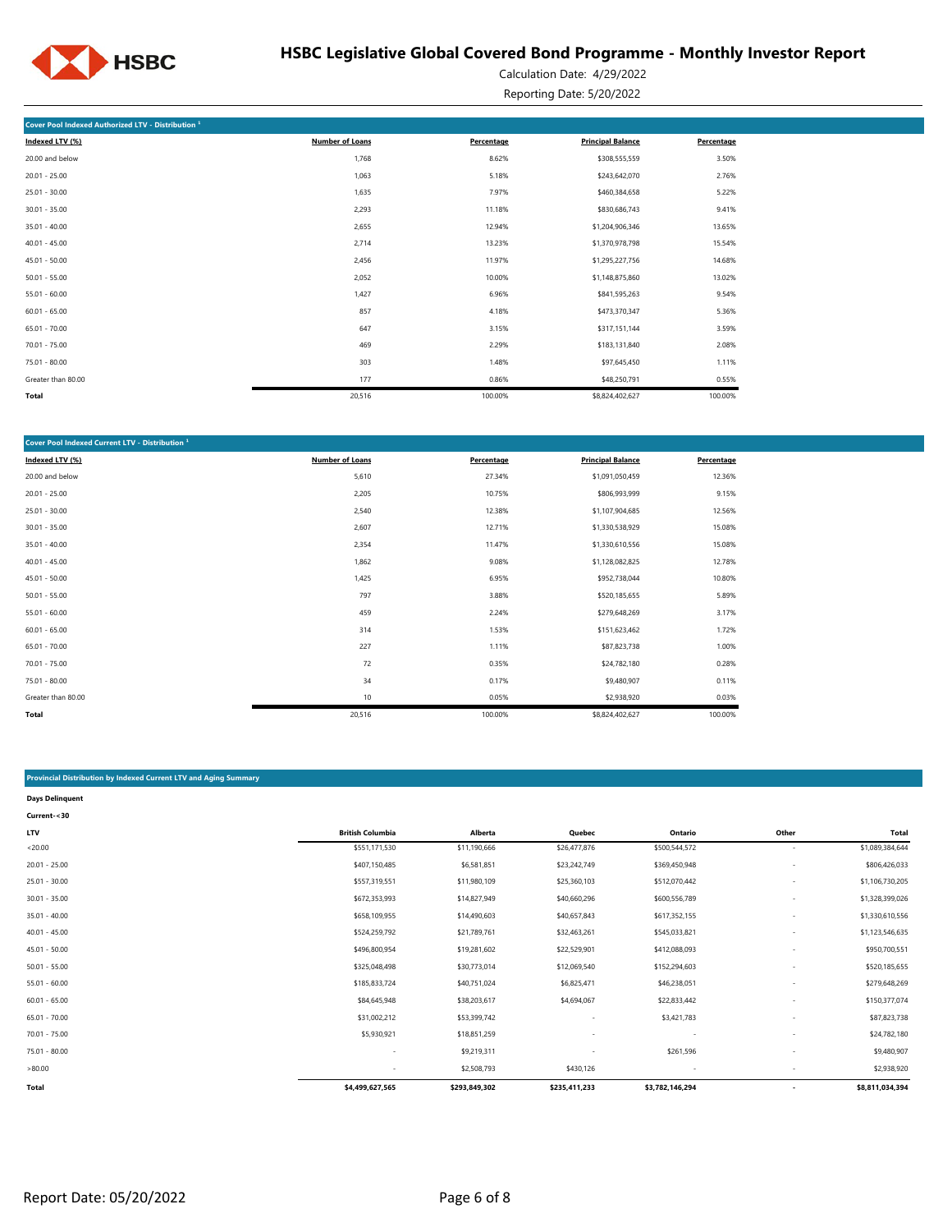

Calculation Date: 4/29/2022 Reporting Date: 5/20/2022

| Cover Pool Indexed Authorized LTV - Distribution <sup>1</sup> |                        |            |                          |            |  |  |  |  |
|---------------------------------------------------------------|------------------------|------------|--------------------------|------------|--|--|--|--|
| Indexed LTV (%)                                               | <b>Number of Loans</b> | Percentage | <b>Principal Balance</b> | Percentage |  |  |  |  |
| 20.00 and below                                               | 1,768                  | 8.62%      | \$308,555,559            | 3.50%      |  |  |  |  |
| $20.01 - 25.00$                                               | 1,063                  | 5.18%      | \$243,642,070            | 2.76%      |  |  |  |  |
| $25.01 - 30.00$                                               | 1,635                  | 7.97%      | \$460,384,658            | 5.22%      |  |  |  |  |
| $30.01 - 35.00$                                               | 2,293                  | 11.18%     | \$830,686,743            | 9.41%      |  |  |  |  |
| $35.01 - 40.00$                                               | 2,655                  | 12.94%     | \$1,204,906,346          | 13.65%     |  |  |  |  |
| $40.01 - 45.00$                                               | 2,714                  | 13.23%     | \$1,370,978,798          | 15.54%     |  |  |  |  |
| $45.01 - 50.00$                                               | 2,456                  | 11.97%     | \$1,295,227,756          | 14.68%     |  |  |  |  |
| $50.01 - 55.00$                                               | 2,052                  | 10.00%     | \$1,148,875,860          | 13.02%     |  |  |  |  |
| $55.01 - 60.00$                                               | 1,427                  | 6.96%      | \$841,595,263            | 9.54%      |  |  |  |  |
| $60.01 - 65.00$                                               | 857                    | 4.18%      | \$473,370,347            | 5.36%      |  |  |  |  |
| $65.01 - 70.00$                                               | 647                    | 3.15%      | \$317,151,144            | 3.59%      |  |  |  |  |
| $70.01 - 75.00$                                               | 469                    | 2.29%      | \$183,131,840            | 2.08%      |  |  |  |  |
| 75.01 - 80.00                                                 | 303                    | 1.48%      | \$97,645,450             | 1.11%      |  |  |  |  |
| Greater than 80.00                                            | 177                    | 0.86%      | \$48,250,791             | 0.55%      |  |  |  |  |
| Total                                                         | 20,516                 | 100.00%    | \$8,824,402,627          | 100.00%    |  |  |  |  |

| Cover Pool Indexed Current LTV - Distribution <sup>1</sup> |                        |            |                          |            |  |  |  |
|------------------------------------------------------------|------------------------|------------|--------------------------|------------|--|--|--|
| Indexed LTV (%)                                            | <b>Number of Loans</b> | Percentage | <b>Principal Balance</b> | Percentage |  |  |  |
| 20.00 and below                                            | 5,610                  | 27.34%     | \$1,091,050,459          | 12.36%     |  |  |  |
| $20.01 - 25.00$                                            | 2,205                  | 10.75%     | \$806,993,999            | 9.15%      |  |  |  |
| $25.01 - 30.00$                                            | 2,540                  | 12.38%     | \$1,107,904,685          | 12.56%     |  |  |  |
| $30.01 - 35.00$                                            | 2,607                  | 12.71%     | \$1,330,538,929          | 15.08%     |  |  |  |
| $35.01 - 40.00$                                            | 2,354                  | 11.47%     | \$1,330,610,556          | 15.08%     |  |  |  |
| $40.01 - 45.00$                                            | 1,862                  | 9.08%      | \$1,128,082,825          | 12.78%     |  |  |  |
| $45.01 - 50.00$                                            | 1,425                  | 6.95%      | \$952,738,044            | 10.80%     |  |  |  |
| $50.01 - 55.00$                                            | 797                    | 3.88%      | \$520,185,655            | 5.89%      |  |  |  |
| $55.01 - 60.00$                                            | 459                    | 2.24%      | \$279,648,269            | 3.17%      |  |  |  |
| $60.01 - 65.00$                                            | 314                    | 1.53%      | \$151,623,462            | 1.72%      |  |  |  |
| $65.01 - 70.00$                                            | 227                    | 1.11%      | \$87,823,738             | 1.00%      |  |  |  |
| $70.01 - 75.00$                                            | 72                     | 0.35%      | \$24,782,180             | 0.28%      |  |  |  |
| 75.01 - 80.00                                              | 34                     | 0.17%      | \$9,480,907              | 0.11%      |  |  |  |
| Greater than 80.00                                         | 10                     | 0.05%      | \$2,938,920              | 0.03%      |  |  |  |
| Total                                                      | 20,516                 | 100.00%    | \$8,824,402,627          | 100.00%    |  |  |  |

#### **Provincial Distribution by Indexed Current LTV and Aging Summary**

| <b>Days Delinquent</b> |                          |               |                          |                          |                          |                 |
|------------------------|--------------------------|---------------|--------------------------|--------------------------|--------------------------|-----------------|
| Current-<30            |                          |               |                          |                          |                          |                 |
| <b>LTV</b>             | <b>British Columbia</b>  | Alberta       | Quebec                   | Ontario                  | Other                    | Total           |
| < 20.00                | \$551,171,530            | \$11,190,666  | \$26,477,876             | \$500,544,572            | $\overline{\phantom{a}}$ | \$1,089,384,644 |
| $20.01 - 25.00$        | \$407,150,485            | \$6,581,851   | \$23,242,749             | \$369,450,948            | $\overline{\phantom{a}}$ | \$806,426,033   |
| $25.01 - 30.00$        | \$557,319,551            | \$11,980,109  | \$25,360,103             | \$512,070,442            | $\overline{\phantom{a}}$ | \$1,106,730,205 |
| $30.01 - 35.00$        | \$672,353,993            | \$14,827,949  | \$40,660,296             | \$600,556,789            |                          | \$1,328,399,026 |
| $35.01 - 40.00$        | \$658,109,955            | \$14,490,603  | \$40,657,843             | \$617,352,155            |                          | \$1,330,610,556 |
| $40.01 - 45.00$        | \$524,259,792            | \$21,789,761  | \$32,463,261             | \$545,033,821            |                          | \$1,123,546,635 |
| $45.01 - 50.00$        | \$496,800,954            | \$19,281,602  | \$22,529,901             | \$412,088,093            |                          | \$950,700,551   |
| $50.01 - 55.00$        | \$325,048,498            | \$30,773,014  | \$12,069,540             | \$152,294,603            |                          | \$520,185,655   |
| $55.01 - 60.00$        | \$185,833,724            | \$40,751,024  | \$6,825,471              | \$46,238,051             |                          | \$279,648,269   |
| $60.01 - 65.00$        | \$84,645,948             | \$38,203,617  | \$4,694,067              | \$22,833,442             |                          | \$150,377,074   |
| $65.01 - 70.00$        | \$31,002,212             | \$53,399,742  | ٠                        | \$3,421,783              |                          | \$87,823,738    |
| $70.01 - 75.00$        | \$5,930,921              | \$18,851,259  | $\overline{\phantom{a}}$ | $\overline{\phantom{a}}$ |                          | \$24,782,180    |
| 75.01 - 80.00          | $\overline{\phantom{a}}$ | \$9,219,311   |                          | \$261,596                |                          | \$9,480,907     |
| >80.00                 | $\sim$                   | \$2,508,793   | \$430,126                | $\overline{\phantom{a}}$ |                          | \$2,938,920     |
| Total                  | \$4,499,627,565          | \$293,849,302 | \$235,411,233            | \$3,782,146,294          | $\overline{\phantom{a}}$ | \$8,811,034,394 |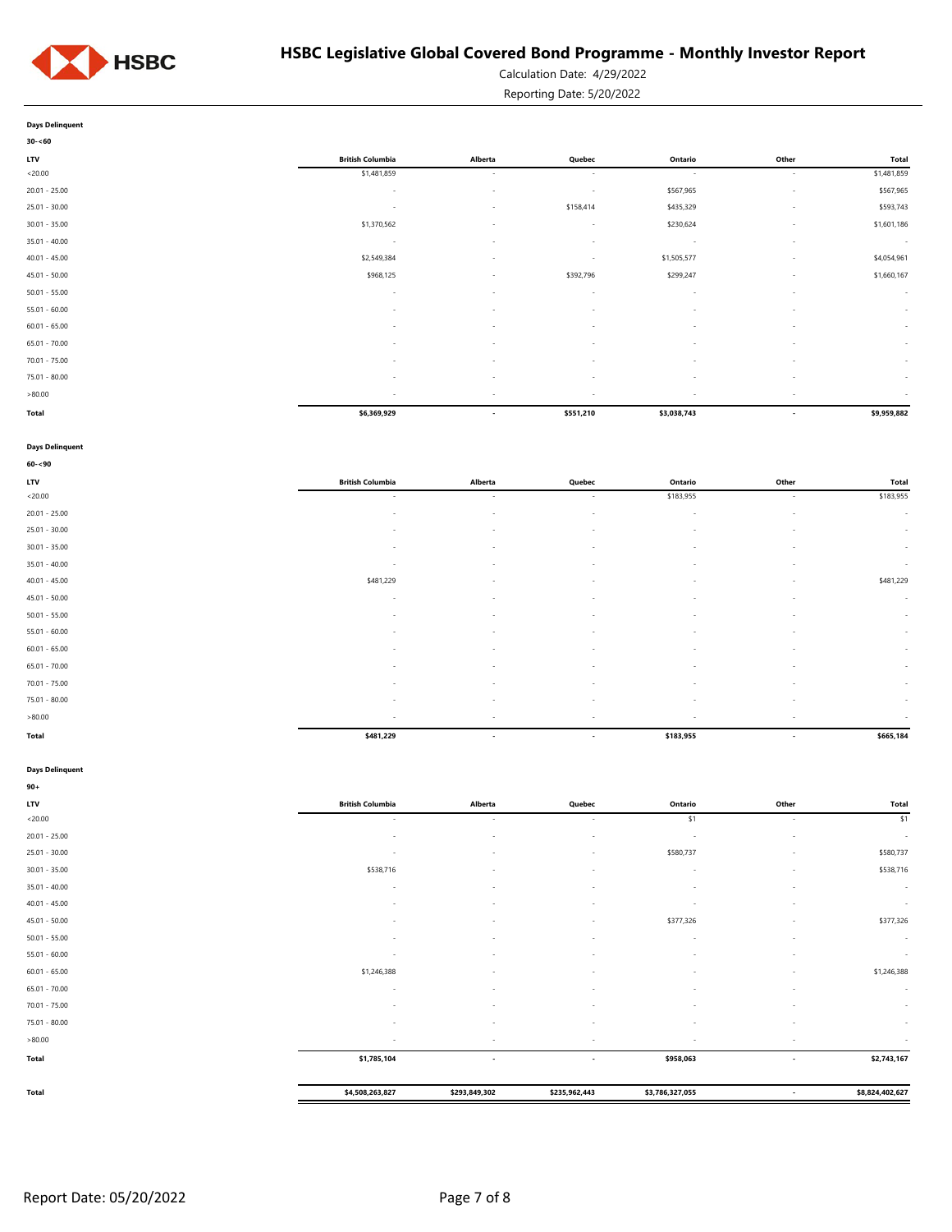

Calculation Date: 4/29/2022

Reporting Date: 5/20/2022

| Days Delinguent |  |
|-----------------|--|

| $30 - 60$       |                         |                          |                          |             |                          |             |
|-----------------|-------------------------|--------------------------|--------------------------|-------------|--------------------------|-------------|
| <b>LTV</b>      | <b>British Columbia</b> | Alberta                  | Quebec                   | Ontario     | Other                    | Total       |
| < 20.00         | \$1,481,859             | $\sim$                   | $\sim$                   | $\sim$      | $\sim$                   | \$1,481,859 |
| $20.01 - 25.00$ | $\sim$                  | $\overline{\phantom{a}}$ | $\sim$                   | \$567,965   | $\sim$                   | \$567,965   |
| $25.01 - 30.00$ | $\sim$                  | $\overline{\phantom{a}}$ | \$158,414                | \$435,329   | $\sim$                   | \$593,743   |
| $30.01 - 35.00$ | \$1,370,562             | ٠                        | $\sim$                   | \$230,624   | $\overline{\phantom{a}}$ | \$1,601,186 |
| $35.01 - 40.00$ | $\sim$                  | $\overline{\phantom{a}}$ | $\sim$                   | $\sim$      | $\sim$                   | $\sim$      |
| $40.01 - 45.00$ | \$2,549,384             | $\overline{\phantom{a}}$ | $\sim$                   | \$1,505,577 | $\sim$                   | \$4,054,961 |
| $45.01 - 50.00$ | \$968,125               | $\overline{\phantom{a}}$ | \$392,796                | \$299,247   | $\sim$                   | \$1,660,167 |
| $50.01 - 55.00$ | $\sim$                  | $\overline{\phantom{a}}$ | $\sim$                   | $\sim$      | $\overline{\phantom{a}}$ | $\sim$      |
| $55.01 - 60.00$ | $\sim$                  | $\overline{\phantom{a}}$ | $\sim$                   | $\sim$      | $\sim$                   | $\sim$      |
| $60.01 - 65.00$ | $\sim$                  | $\overline{\phantom{a}}$ | $\sim$                   | $\sim$      | $\sim$                   | $\sim$      |
| $65.01 - 70.00$ | $\sim$                  | $\overline{\phantom{a}}$ | $\sim$                   | $\sim$      | $\overline{\phantom{a}}$ | $\sim$      |
| $70.01 - 75.00$ | $\sim$                  | $\overline{\phantom{a}}$ | $\sim$                   | $\sim$      | $\sim$                   | $\sim$      |
| $75.01 - 80.00$ |                         |                          |                          |             |                          | $\sim$      |
| >80.00          | $\sim$                  | $\overline{\phantom{a}}$ | $\overline{\phantom{a}}$ | $\sim$      | $\sim$                   | $\sim$      |
| Total           | \$6,369,929             | $\overline{\phantom{a}}$ | \$551,210                | \$3,038,743 | $\overline{\phantom{a}}$ | \$9,959,882 |

#### **Days Delinquent**

| $60 - 90$       |                          |                          |                          |                          |                          |              |
|-----------------|--------------------------|--------------------------|--------------------------|--------------------------|--------------------------|--------------|
| <b>LTV</b>      | <b>British Columbia</b>  | Alberta                  | Quebec                   | Ontario                  | Other                    | <b>Total</b> |
| < 20.00         | $\sim$                   | $\sim$                   | $\sim$                   | \$183,955                | $\sim$                   | \$183,955    |
| $20.01 - 25.00$ | $\sim$                   | $\sim$                   | $\sim$                   | $\sim$                   | $\sim$                   | $\sim$       |
| $25.01 - 30.00$ | $\sim$                   | $\overline{\phantom{a}}$ | $\sim$                   | $\sim$                   | $\overline{\phantom{a}}$ | $\sim$       |
| $30.01 - 35.00$ | $\sim$                   | $\overline{\phantom{a}}$ | $\sim$                   | $\sim$                   | $\sim$                   | $\sim$       |
| $35.01 - 40.00$ | $\sim$                   | $\overline{\phantom{a}}$ | $\sim$                   | $\overline{\phantom{a}}$ | $\overline{\phantom{a}}$ | $\sim$       |
| $40.01 - 45.00$ | \$481,229                | $\sim$                   | $\sim$                   | $\sim$                   | $\sim$                   | \$481,229    |
| $45.01 - 50.00$ | $\sim$                   | $\sim$                   | $\sim$                   | $\sim$                   | $\overline{\phantom{a}}$ | $\sim$       |
| $50.01 - 55.00$ | $\sim$                   | $\overline{\phantom{a}}$ | $\sim$                   | $\sim$                   | $\overline{\phantom{a}}$ | $\sim$       |
| $55.01 - 60.00$ | $\sim$                   | $\overline{\phantom{a}}$ | $\sim$                   | $\sim$                   | $\overline{\phantom{a}}$ | $\sim$       |
| $60.01 - 65.00$ | $\sim$                   | $\overline{\phantom{a}}$ | $\overline{\phantom{a}}$ |                          |                          | $\sim$       |
| $65.01 - 70.00$ | $\overline{\phantom{a}}$ | $\sim$                   | $\sim$                   | $\sim$                   | $\sim$                   | $\sim$       |
| $70.01 - 75.00$ | $\sim$                   | $\overline{\phantom{a}}$ | $\sim$                   | . –                      |                          | $\sim$       |
| $75.01 - 80.00$ | $\sim$                   | $\sim$                   | $\sim$                   | $\sim$                   | $\sim$                   | $\sim$       |
| >80.00          | $\sim$                   | $\overline{\phantom{a}}$ | $\sim$                   | $\sim$                   | $\overline{\phantom{a}}$ | $\sim$       |
| <b>Total</b>    | \$481,229                | $\overline{\phantom{a}}$ | $\overline{\phantom{a}}$ | \$183,955                | $\overline{\phantom{a}}$ | \$665,184    |

#### **Days Delinquent**

| $90+$           |                          |                          |                          |                 |                          |                 |
|-----------------|--------------------------|--------------------------|--------------------------|-----------------|--------------------------|-----------------|
| LTV             | <b>British Columbia</b>  | Alberta                  | Quebec                   | Ontario         | Other                    | Total           |
| < 20.00         | $\sim$                   | $\sim$                   | $\sim$                   | \$1             | $\overline{\phantom{a}}$ | \$1             |
| $20.01 - 25.00$ | $\sim$                   | $\overline{\phantom{a}}$ | $\sim$                   | $\sim$          | $\overline{\phantom{a}}$ | $\sim$          |
| $25.01 - 30.00$ | $\sim$                   | $\overline{\phantom{a}}$ | $\overline{\phantom{a}}$ | \$580,737       | $\overline{\phantom{a}}$ | \$580,737       |
| $30.01 - 35.00$ | \$538,716                | ÷                        |                          |                 | $\overline{\phantom{a}}$ | \$538,716       |
| $35.01 - 40.00$ |                          | $\overline{\phantom{a}}$ |                          |                 | ٠                        | $\sim$          |
| $40.01 - 45.00$ | $\sim$                   | $\overline{\phantom{a}}$ | $\sim$                   | <b>1999</b>     | $\overline{\phantom{a}}$ | $\sim$          |
| $45.01 - 50.00$ | $\overline{\phantom{a}}$ | $\overline{\phantom{a}}$ | $\sim$                   | \$377,326       | ٠                        | \$377,326       |
| $50.01 - 55.00$ | $\overline{\phantom{a}}$ | $\overline{\phantom{a}}$ | $\sim$                   | $\sim$          | $\overline{\phantom{a}}$ | $\sim$          |
| $55.01 - 60.00$ | $\sim$                   | $\overline{\phantom{a}}$ | $\overline{\phantom{a}}$ | $\sim$          | $\overline{\phantom{a}}$ | $\sim$          |
| $60.01 - 65.00$ | \$1,246,388              | $\overline{\phantom{a}}$ | $\overline{\phantom{a}}$ | <b>1999</b>     | ٠                        | \$1,246,388     |
| $65.01 - 70.00$ | $\sim$                   | $\overline{\phantom{a}}$ |                          |                 | $\overline{\phantom{a}}$ | $\sim$          |
| $70.01 - 75.00$ |                          | $\overline{\phantom{a}}$ |                          |                 | ٠                        | $\sim$          |
| $75.01 - 80.00$ | $\overline{\phantom{a}}$ | $\overline{\phantom{a}}$ | $\sim$                   | $\sim$          | $\overline{\phantom{a}}$ | $\sim$          |
| >80.00          | $\sim$                   | $\overline{\phantom{a}}$ | $\sim$                   | $\sim$          | $\sim$                   | $\sim$          |
| Total           | \$1,785,104              | $\overline{\phantom{a}}$ | $\overline{\phantom{a}}$ | \$958,063       | $\overline{\phantom{a}}$ | \$2,743,167     |
|                 |                          |                          |                          |                 |                          |                 |
| Total           | \$4,508,263,827          | \$293,849,302            | \$235,962,443            | \$3,786,327,055 | $\overline{\phantom{a}}$ | \$8,824,402,627 |